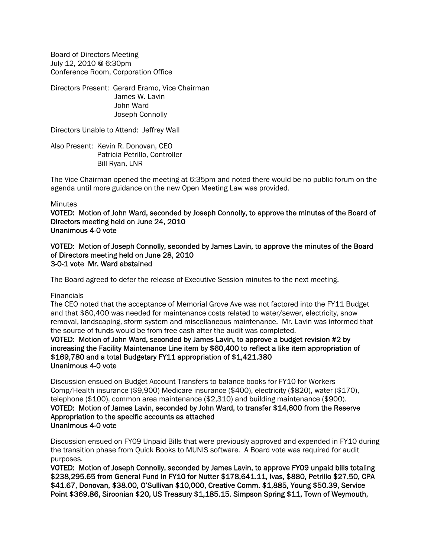Board of Directors Meeting July 12, 2010 @ 6:30pm Conference Room, Corporation Office

Directors Present: Gerard Eramo, Vice Chairman James W. Lavin John Ward Joseph Connolly

Directors Unable to Attend: Jeffrey Wall

Also Present: Kevin R. Donovan, CEO Patricia Petrillo, Controller Bill Ryan, LNR

The Vice Chairman opened the meeting at 6:35pm and noted there would be no public forum on the agenda until more guidance on the new Open Meeting Law was provided.

#### **Minutes**

VOTED: Motion of John Ward, seconded by Joseph Connolly, to approve the minutes of the Board of Directors meeting held on June 24, 2010 Unanimous 4-0 vote

VOTED: Motion of Joseph Connolly, seconded by James Lavin, to approve the minutes of the Board of Directors meeting held on June 28, 2010 3-0-1 vote Mr. Ward abstained

The Board agreed to defer the release of Executive Session minutes to the next meeting.

**Financials** 

The CEO noted that the acceptance of Memorial Grove Ave was not factored into the FY11 Budget and that \$60,400 was needed for maintenance costs related to water/sewer, electricity, snow removal, landscaping, storm system and miscellaneous maintenance. Mr. Lavin was informed that the source of funds would be from free cash after the audit was completed.

#### VOTED: Motion of John Ward, seconded by James Lavin, to approve a budget revision #2 by increasing the Facility Maintenance Line item by \$60,400 to reflect a like item appropriation of \$169,780 and a total Budgetary FY11 appropriation of \$1,421.380 Unanimous 4-0 vote

Discussion ensued on Budget Account Transfers to balance books for FY10 for Workers Comp/Health insurance (\$9,900) Medicare insurance (\$400), electricity (\$820), water (\$170), telephone (\$100), common area maintenance (\$2,310) and building maintenance (\$900). VOTED: Motion of James Lavin, seconded by John Ward, to transfer \$14,600 from the Reserve Appropriation to the specific accounts as attached Unanimous 4-0 vote

Discussion ensued on FY09 Unpaid Bills that were previously approved and expended in FY10 during the transition phase from Quick Books to MUNIS software. A Board vote was required for audit purposes.

VOTED: Motion of Joseph Connolly, seconded by James Lavin, to approve FY09 unpaid bills totaling \$238,295.65 from General Fund in FY10 for Nutter \$178,641.11, Ivas, \$880, Petrillo \$27.50, CPA \$41.67, Donovan, \$38.00, O'Sullivan \$10,000, Creative Comm. \$1,885, Young \$50.39, Service Point \$369.86, Siroonian \$20, US Treasury \$1,185.15. Simpson Spring \$11, Town of Weymouth,